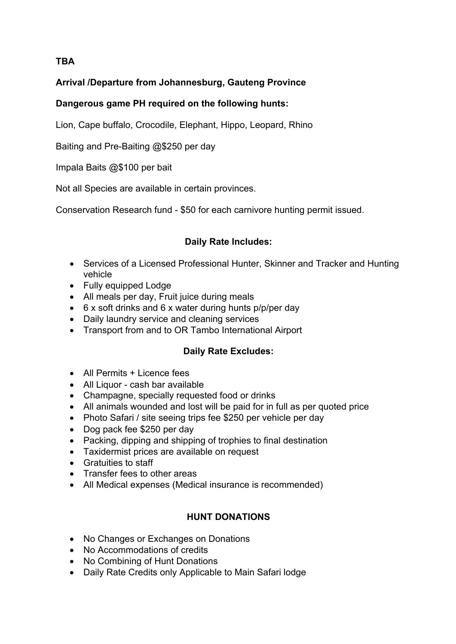# **TBA**

# **Arrival /Departure from Johannesburg, Gauteng Province**

### **Dangerous game PH required on the following hunts:**

Lion, Cape buffalo, Crocodile, Elephant, Hippo, Leopard, Rhino

Baiting and Pre-Baiting @\$250 per day

Impala Baits @\$100 per bait

Not all Species are available in certain provinces.

Conservation Research fund - \$50 for each carnivore hunting permit issued.

#### **Daily Rate Includes:**

- Services of a Licensed Professional Hunter, Skinner and Tracker and Hunting vehicle
- Fully equipped Lodge
- All meals per day, Fruit juice during meals
- 6 x soft drinks and 6 x water during hunts p/p/per day
- Daily laundry service and cleaning services
- Transport from and to OR Tambo International Airport

# **Daily Rate Excludes:**

- All Permits + Licence fees
- All Liquor cash bar available
- Champagne, specially requested food or drinks
- All animals wounded and lost will be paid for in full as per quoted price
- Photo Safari / site seeing trips fee \$250 per vehicle per day
- Dog pack fee \$250 per day
- Packing, dipping and shipping of trophies to final destination
- Taxidermist prices are available on request
- Gratuities to staff
- Transfer fees to other areas
- All Medical expenses (Medical insurance is recommended)

#### **HUNT DONATIONS**

- No Changes or Exchanges on Donations
- No Accommodations of credits
- No Combining of Hunt Donations
- Daily Rate Credits only Applicable to Main Safari lodge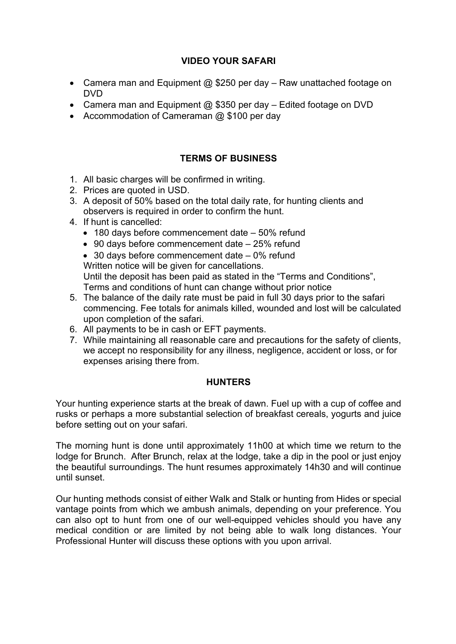### **VIDEO YOUR SAFARI**

- Camera man and Equipment @ \$250 per day Raw unattached footage on DVD
- Camera man and Equipment  $@$  \$350 per day Edited footage on DVD
- Accommodation of Cameraman @ \$100 per day

### **TERMS OF BUSINESS**

- 1. All basic charges will be confirmed in writing.
- 2. Prices are quoted in USD.
- 3. A deposit of 50% based on the total daily rate, for hunting clients and observers is required in order to confirm the hunt.
- 4. If hunt is cancelled:
	- 180 days before commencement date 50% refund
	- 90 days before commencement date 25% refund

• 30 days before commencement date – 0% refund Written notice will be given for cancellations. Until the deposit has been paid as stated in the "Terms and Conditions", Terms and conditions of hunt can change without prior notice

- 5. The balance of the daily rate must be paid in full 30 days prior to the safari commencing. Fee totals for animals killed, wounded and lost will be calculated upon completion of the safari.
- 6. All payments to be in cash or EFT payments.
- 7. While maintaining all reasonable care and precautions for the safety of clients, we accept no responsibility for any illness, negligence, accident or loss, or for expenses arising there from.

#### **HUNTERS**

Your hunting experience starts at the break of dawn. Fuel up with a cup of coffee and rusks or perhaps a more substantial selection of breakfast cereals, yogurts and juice before setting out on your safari.

The morning hunt is done until approximately 11h00 at which time we return to the lodge for Brunch. After Brunch, relax at the lodge, take a dip in the pool or just enjoy the beautiful surroundings. The hunt resumes approximately 14h30 and will continue until sunset.

Our hunting methods consist of either Walk and Stalk or hunting from Hides or special vantage points from which we ambush animals, depending on your preference. You can also opt to hunt from one of our well-equipped vehicles should you have any medical condition or are limited by not being able to walk long distances. Your Professional Hunter will discuss these options with you upon arrival.